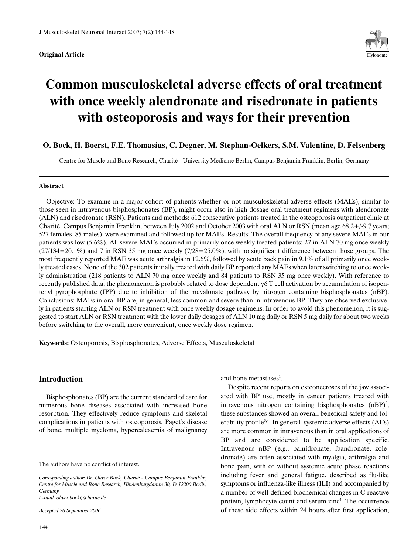

# **Common musculoskeletal adverse effects of oral treatment with once weekly alendronate and risedronate in patients with osteoporosis and ways for their prevention**

## **O. Bock, H. Boerst, F.E. Thomasius, C. Degner, M. Stephan-Oelkers, S.M. Valentine, D. Felsenberg**

Centre for Muscle and Bone Research, Charité - University Medicine Berlin, Campus Benjamin Franklin, Berlin, Germany

#### **Abstract**

Objective: To examine in a major cohort of patients whether or not musculoskeletal adverse effects (MAEs), similar to those seen in intravenous bisphosphonates (BP), might occur also in high dosage oral treatment regimens with alendronate (ALN) and risedronate (RSN). Patients and methods: 612 consecutive patients treated in the osteoporosis outpatient clinic at Charité, Campus Benjamin Franklin, between July 2002 and October 2003 with oral ALN or RSN (mean age 68.2+/-9.7 years; 527 females, 85 males), were examined and followed up for MAEs. Results: The overall frequency of any severe MAEs in our patients was low (5.6%). All severe MAEs occurred in primarily once weekly treated patients: 27 in ALN 70 mg once weekly  $(27/134=20.1\%)$  and 7 in RSN 35 mg once weekly  $(7/28=25.0\%)$ , with no significant difference between those groups. The most frequently reported MAE was acute arthralgia in 12.6%, followed by acute back pain in 9.1% of all primarily once weekly treated cases. None of the 302 patients initially treated with daily BP reported any MAEs when later switching to once weekly administration (218 patients to ALN 70 mg once weekly and 84 patients to RSN 35 mg once weekly). With reference to recently published data, the phenomenon is probably related to dose dependent  $\gamma \delta T$  cell activation by accumulation of isopentenyl pyrophosphate (IPP) due to inhibition of the mevalonate pathway by nitrogen containing bisphosphonates (nBP). Conclusions: MAEs in oral BP are, in general, less common and severe than in intravenous BP. They are observed exclusively in patients starting ALN or RSN treatment with once weekly dosage regimens. In order to avoid this phenomenon, it is suggested to start ALN or RSN treatment with the lower daily dosages of ALN 10 mg daily or RSN 5 mg daily for about two weeks before switching to the overall, more convenient, once weekly dose regimen.

**Keywords:** Osteoporosis, Bisphosphonates, Adverse Effects, Musculoskeletal

## **Introduction**

Bisphosphonates (BP) are the current standard of care for numerous bone diseases associated with increased bone resorption. They effectively reduce symptoms and skeletal complications in patients with osteoporosis, Paget's disease of bone, multiple myeloma, hypercalcaemia of malignancy

The authors have no conflict of interest.

*E-mail: oliver.bock@charite.de*

*Accepted 26 September 2006*

and bone metastases<sup>1</sup>.

Despite recent reports on osteonecroses of the jaw associated with BP use, mostly in cancer patients treated with intravenous nitrogen containing bisphosphonates  $(nBP)^2$ , these substances showed an overall beneficial safety and tolerability profile<sup>3,4</sup>. In general, systemic adverse effects (AEs) are more common in intravenous than in oral applications of BP and are considered to be application specific. Intravenous nBP (e.g., pamidronate, ibandronate, zoledronate) are often associated with myalgia, arthralgia and bone pain, with or without systemic acute phase reactions including fever and general fatigue, described as flu-like symptoms or influenza-like illness (ILI) and accompanied by a number of well-defined biochemical changes in C-reactive protein, lymphocyte count and serum zinc<sup>4</sup>. The occurrence of these side effects within 24 hours after first application,

*Corresponding author: Dr. Oliver Bock, Charité - Campus Benjamin Franklin, Centre for Muscle and Bone Research, Hindenburgdamm 30, D-12200 Berlin, Germany*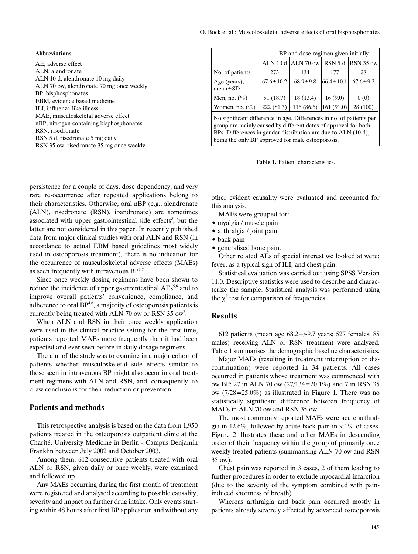| <b>Abbreviations</b>                                                                                                                                                                    |  |                                                                                                                                                                                                                                                                | BP and dose regimen given initially |                                            |                  |                |  |
|-----------------------------------------------------------------------------------------------------------------------------------------------------------------------------------------|--|----------------------------------------------------------------------------------------------------------------------------------------------------------------------------------------------------------------------------------------------------------------|-------------------------------------|--------------------------------------------|------------------|----------------|--|
| AE, adverse effect                                                                                                                                                                      |  |                                                                                                                                                                                                                                                                |                                     | ALN 10 d   ALN 70 ow   RSN 5 d   RSN 35 ow |                  |                |  |
| ALN, alendronate<br>ALN 10 d, alendronate 10 mg daily<br>ALN 70 ow, alendronate 70 mg once weekly<br>BP, bisphosphonates<br>EBM, evidence based medicine<br>ILI, influenza-like illness |  | No. of patients                                                                                                                                                                                                                                                | 273                                 | 134                                        | 177              | 28             |  |
|                                                                                                                                                                                         |  | Age (years),<br>$mean \pm SD$                                                                                                                                                                                                                                  | $67.6 \pm 10.2$                     | $68.9 \pm 9.8$                             | $166.4 \pm 10.1$ | $67.6 \pm 9.2$ |  |
|                                                                                                                                                                                         |  | Men, no. $(\%)$                                                                                                                                                                                                                                                | 51 (18.7)                           | 18(13.4)                                   | 16(9.0)          | 0(0)           |  |
|                                                                                                                                                                                         |  | Women, no. $(\% )$                                                                                                                                                                                                                                             | 222(81.3)                           | 116(86.6)                                  | 161 (91.0)       | 28(100)        |  |
| MAE, musculoskeletal adverse effect<br>nBP, nitrogen containing bisphosphonates<br>RSN, risedronate<br>RSN 5 d, risedronate 5 mg daily<br>RSN 35 ow, risedronate 35 mg once weekly      |  | No significant difference in age. Differences in no. of patients per<br>group are mainly caused by different dates of approval for both<br>BPs. Differences in gender distribution are due to ALN (10 d),<br>being the only BP approved for male osteoporosis. |                                     |                                            |                  |                |  |

**Table 1.** Patient characteristics.

persistence for a couple of days, dose dependency, and very rare re-occurrence after repeated applications belong to their characteristics. Otherwise, oral nBP (e.g., alendronate (ALN), risedronate (RSN), ibandronate) are sometimes associated with upper gastrointestinal side effects<sup>5</sup>, but the latter are not considered in this paper. In recently published data from major clinical studies with oral ALN and RSN (in accordance to actual EBM based guidelines most widely used in osteoporosis treatment), there is no indication for the occurrence of musculoskeletal adverse effects (MAEs) as seen frequently with intravenous  $BP^{6,7}$ .

Since once weekly dosing regimens have been shown to reduce the incidence of upper gastrointestinal AEs<sup>5,6</sup> and to improve overall patients' convenience, compliance, and adherence to oral  $BP<sup>4,6</sup>$ , a majority of osteoporosis patients is currently being treated with ALN 70 ow or RSN 35  $ow<sup>7</sup>$ .

When ALN and RSN in their once weekly application were used in the clinical practice setting for the first time, patients reported MAEs more frequently than it had been expected and ever seen before in daily dosage regimens.

The aim of the study was to examine in a major cohort of patients whether musculoskeletal side effects similar to those seen in intravenous BP might also occur in oral treatment regimens with ALN and RSN, and, consequently, to draw conclusions for their reduction or prevention.

### **Patients and methods**

This retrospective analysis is based on the data from 1,950 patients treated in the osteoporosis outpatient clinic at the Charité, University Medicine in Berlin - Campus Benjamin Franklin between July 2002 and October 2003.

Among them, 612 consecutive patients treated with oral ALN or RSN, given daily or once weekly, were examined and followed up.

Any MAEs occurring during the first month of treatment were registered and analysed according to possible causality, severity and impact on further drug intake. Only events starting within 48 hours after first BP application and without any

other evident causality were evaluated and accounted for this analysis.

MAEs were grouped for:

- $\bullet$  myalgia / muscle pain
- $\bullet$  arthralgia / joint pain
- back pain
- generalised bone pain.

Other related AEs of special interest we looked at were: fever, as a typical sign of ILI, and chest pain.

Statistical evaluation was carried out using SPSS Version 11.0. Descriptive statistics were used to describe and characterize the sample. Statistical analysis was performed using the  $\chi^2$  test for comparison of frequencies.

## **Results**

612 patients (mean age 68.2+/-9.7 years; 527 females, 85 males) receiving ALN or RSN treatment were analyzed. Table 1 summarises the demographic baseline characteristics.

Major MAEs (resulting in treatment interruption or discontinuation) were reported in 34 patients. All cases occurred in patients whose treatment was commenced with ow BP: 27 in ALN 70 ow (27/134=20.1%) and 7 in RSN 35 ow (7/28=25.0%) as illustrated in Figure 1. There was no statistically significant difference between frequency of MAEs in ALN 70 ow and RSN 35 ow.

The most commonly reported MAEs were acute arthralgia in 12.6%, followed by acute back pain in 9.1% of cases. Figure 2 illustrates these and other MAEs in descending order of their frequency within the group of primarily once weekly treated patients (summarising ALN 70 ow and RSN 35 ow).

Chest pain was reported in 3 cases, 2 of them leading to further procedures in order to exclude myocardial infarction (due to the severity of the symptom combined with paininduced shortness of breath).

Whereas arthralgia and back pain occurred mostly in patients already severely affected by advanced osteoporosis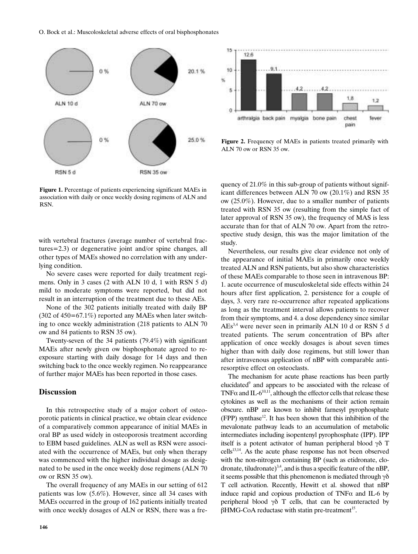



**Figure 2.** Frequency of MAEs in patients treated primarily with ALN 70 ow or RSN 35 ow.

**Figure 1.** Percentage of patients experiencing significant MAEs in association with daily or once weekly dosing regimens of ALN and RSN.

with vertebral fractures (average number of vertebral fractures=2.3) or degenerative joint and/or spine changes, all other types of MAEs showed no correlation with any underlying condition.

No severe cases were reported for daily treatment regimens. Only in 3 cases (2 with ALN 10 d, 1 with RSN 5 d) mild to moderate symptoms were reported, but did not result in an interruption of the treatment due to these AEs.

None of the 302 patients initially treated with daily BP  $(302 \text{ of } 450 = 67.1\%)$  reported any MAEs when later switching to once weekly administration (218 patients to ALN 70 ow and 84 patients to RSN 35 ow).

Twenty-seven of the 34 patients (79.4%) with significant MAEs after newly given ow bisphosphonate agreed to reexposure starting with daily dosage for 14 days and then switching back to the once weekly regimen. No reappearance of further major MAEs has been reported in those cases.

## **Discussion**

In this retrospective study of a major cohort of osteoporotic patients in clinical practice, we obtain clear evidence of a comparatively common appearance of initial MAEs in oral BP as used widely in osteoporosis treatment according to EBM based guidelines. ALN as well as RSN were associated with the occurrence of MAEs, but only when therapy was commenced with the higher individual dosage as designated to be used in the once weekly dose regimens (ALN 70 ow or RSN 35 ow).

The overall frequency of any MAEs in our setting of 612 patients was low (5.6%). However, since all 34 cases with MAEs occurred in the group of 162 patients initially treated with once weekly dosages of ALN or RSN, there was a fre-

**146**

quency of 21.0% in this sub-group of patients without significant differences between ALN 70 ow (20.1%) and RSN 35 ow (25.0%). However, due to a smaller number of patients treated with RSN 35 ow (resulting from the simple fact of later approval of RSN 35 ow), the frequency of MAS is less accurate than for that of ALN 70 ow. Apart from the retrospective study design, this was the major limitation of the study.

Nevertheless, our results give clear evidence not only of the appearance of initial MAEs in primarily once weekly treated ALN and RSN patients, but also show characteristics of these MAEs comparable to those seen in intravenous BP: 1. acute occurrence of musculoskeletal side effects within 24 hours after first application, 2. persistence for a couple of days, 3. very rare re-occurrence after repeated applications as long as the treatment interval allows patients to recover from their symptoms, and 4. a dose dependency since similar AEs3,4 were never seen in primarily ALN 10 d or RSN 5 d treated patients. The serum concentration of BPs after application of once weekly dosages is about seven times higher than with daily dose regimens, but still lower than after intravenous application of nBP with comparable antiresorptive effect on osteoclasts.

The mechanism for acute phase reactions has been partly elucidated<sup>9</sup> and appears to be associated with the release of TNF $\alpha$  and IL-6<sup>10,11</sup>, although the effector cells that release these cytokines as well as the mechanisms of their action remain obscure. nBP are known to inhibit farnesyl pyrophosphate  $(FPP)$  synthase<sup>12</sup>. It has been shown that this inhibition of the mevalonate pathway leads to an accumulation of metabolic intermediates including isopentenyl pyrophosphate (IPP). IPP itself is a potent activator of human peripheral blood  $\gamma\delta$  T cells<sup>13,14</sup>. As the acute phase response has not been observed with the non-nitrogen containing BP (such as etidronate, clodronate, tiludronate)<sup>3,4</sup>, and is thus a specific feature of the nBP, it seems possible that this phenomenon is mediated through  $\gamma\delta$ T cell activation. Recently, Hewitt et al. showed that nBP induce rapid and copious production of TNF $\alpha$  and IL-6 by peripheral blood  $\gamma\delta$  T cells, that can be counteracted by  $\beta$ HMG-CoA reductase with statin pre-treatment<sup>15</sup>.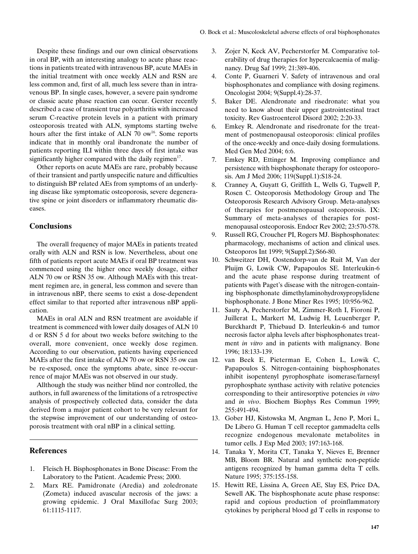Despite these findings and our own clinical observations in oral BP, with an interesting analogy to acute phase reactions in patients treated with intravenous BP, acute MAEs in the initial treatment with once weekly ALN and RSN are less common and, first of all, much less severe than in intravenous BP. In single cases, however, a severe pain syndrome or classic acute phase reaction can occur. Gerster recently described a case of transient true polyarthritis with increased serum C-reactive protein levels in a patient with primary osteoporosis treated with ALN, symptoms starting twelve hours after the first intake of ALN 70 ow<sup>16</sup>. Some reports indicate that in monthly oral ibandronate the number of patients reporting ILI within three days of first intake was significantly higher compared with the daily regimen<sup>17</sup>.

Other reports on acute MAEs are rare, probably because of their transient and partly unspecific nature and difficulties to distinguish BP related AEs from symptoms of an underlying disease like symptomatic osteoporosis, severe degenerative spine or joint disorders or inflammatory rheumatic diseases.

## **Conclusions**

The overall frequency of major MAEs in patients treated orally with ALN and RSN is low. Nevertheless, about one fifth of patients report acute MAEs if oral BP treatment was commenced using the higher once weekly dosage, either ALN 70 ow or RSN 35 ow. Although MAEs with this treatment regimen are, in general, less common and severe than in intravenous nBP, there seems to exist a dose-dependent effect similar to that reported after intravenous nBP application.

MAEs in oral ALN and RSN treatment are avoidable if treatment is commenced with lower daily dosages of ALN 10 d or RSN 5 d for about two weeks before switching to the overall, more convenient, once weekly dose regimen. According to our observation, patients having experienced MAEs after the first intake of ALN 70 ow or RSN 35 ow can be re-exposed, once the symptoms abate, since re-occurrence of major MAEs was not observed in our study.

Allthough the study was neither blind nor controlled, the authors, in full awareness of the limitations of a retrospective analysis of prospectively collected data, consider the data derived from a major patient cohort to be very relevant for the stepwise improvement of our understanding of osteoporosis treatment with oral nBP in a clinical setting.

### **References**

- 1. Fleisch H. Bisphosphonates in Bone Disease: From the Laboratory to the Patient. Academic Press; 2000.
- 2. Marx RE. Pamidronate (Aredia) and zoledronate (Zometa) induced avascular necrosis of the jaws: a growing epidemic. J Oral Maxillofac Surg 2003; 61:1115-1117.
- 3. Zojer N, Keck AV, Pecherstorfer M. Comparative tolerability of drug therapies for hypercalcaemia of malignancy. Drug Saf 1999; 21:389-406.
- 4. Conte P, Guarneri V. Safety of intravenous and oral bisphosphonates and compliance with dosing regimens. Oncologist 2004; 9(Suppl.4):28-37.
- 5. Baker DE. Alendronate and risedronate: what you need to know about their upper gastrointestinal tract toxicity. Rev Gastroenterol Disord 2002; 2:20-33.
- 6. Emkey R. Alendronate and risedronate for the treatment of postmenopausal osteoporosis: clinical profiles of the once-weekly and once-daily dosing formulations. Med Gen Med 2004; 6:6.
- 7. Emkey RD, Ettinger M. Improving compliance and persistence with bisphosphonate therapy for osteoporosis. Am J Med 2006; 119(Suppl.1):S18-24.
- 8. Cranney A, Guyatt G, Griffith L, Wells G, Tugwell P, Rosen C. Osteoporosis Methodology Group and The Osteoporosis Research Advisory Group. Meta-analyses of therapies for postmenopausal osteoporosis. IX: Summary of meta-analyses of therapies for postmenopausal osteoporosis. Endocr Rev 2002; 23:570-578.
- 9. Russell RG, Croucher PI, Rogers MJ. Bisphosphonates: pharmacology, mechanisms of action and clinical uses. Osteoporos Int 1999; 9(Suppl.2):S66-80.
- 10. Schweitzer DH, Oostendorp-van de Ruit M, Van der Pluijm G, Lowik CW, Papapoulos SE. Interleukin-6 and the acute phase response during treatment of patients with Paget's disease with the nitrogen-containing bisphosphonate dimethylaminohydroxypropylidene bisphosphonate. J Bone Miner Res 1995; 10:956-962.
- 11. Sauty A, Pecherstorfer M, Zimmer-Roth I, Fioroni P, Juillerat L, Markert M, Ludwig H, Leuenberger P, Burckhardt P, Thiebaud D. Interleukin-6 and tumor necrosis factor alpha levels after bisphosphonates treatment *in vitro* and in patients with malignancy. Bone 1996; 18:133-139.
- 12. van Beek E, Pieterman E, Cohen L, Lowik C, Papapoulos S. Nitrogen-containing bisphosphonates inhibit isopentenyl pyrophosphate isomerase/farnesyl pyrophosphate synthase activity with relative potencies corresponding to their antiresorptive potencies *in vitro* and *in vivo*. Biochem Biophys Res Commun 1999; 255:491-494.
- 13. Gober HJ, Kistowska M, Angman L, Jeno P, Mori L, De Libero G. Human T cell receptor gammadelta cells recognize endogenous mevalonate metabolites in tumor cells. J Exp Med 2003; 197:163-168.
- 14. Tanaka Y, Morita CT, Tanaka Y, Nieves E, Brenner MB, Bloom BR. Natural and synthetic non-peptide antigens recognized by human gamma delta T cells. Nature 1995; 375:155-158.
- 15. Hewitt RE, Lissina A, Green AE, Slay ES, Price DA, Sewell AK. The bisphosphonate acute phase response: rapid and copious production of proinflammatory cytokines by peripheral blood gd T cells in response to